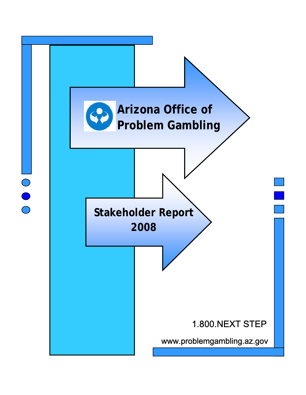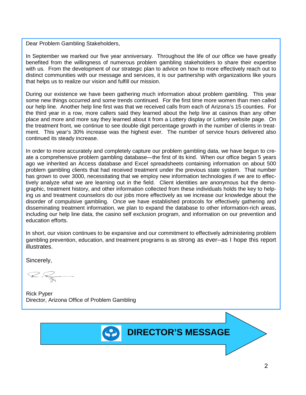Dear Problem Gambling Stakeholders,

In September we marked our five year anniversary. Throughout the life of our office we have greatly benefited from the willingness of numerous problem gambling stakeholders to share their expertise with us. From the development of our strategic plan to advice on how to more effectively reach out to distinct communities with our message and services, it is our partnership with organizations like yours that helps us to realize our vision and fulfill our mission.

During our existence we have been gathering much information about problem gambling. This year some new things occurred and some trends continued. For the first time more women than men called our help line. Another help line first was that we received calls from each of Arizona's 15 counties. For the third year in a row, more callers said they learned about the help line at casinos than any other place and more and more say they learned about it from a Lottery display or Lottery website page. On the treatment front, we continue to see double digit percentage growth in the number of clients in treatment. This year's 30% increase was the highest ever. The number of service hours delivered also continued its steady increase.

In order to more accurately and completely capture our problem gambling data, we have begun to create a comprehensive problem gambling database—the first of its kind. When our office began 5 years ago we inherited an Access database and Excel spreadsheets containing information on about 500 problem gambling clients that had received treatment under the previous state system. That number has grown to over 3000, necessitating that we employ new information technologies if we are to effectively analyze what we are learning out in the field. Client identities are anonymous but the demographic, treatment history, and other information collected from these individuals holds the key to helping us and treatment counselors do our jobs more effectively as we increase our knowledge about the disorder of compulsive gambling. Once we have established protocols for effectively gathering and disseminating treatment information, we plan to expand the database to other information-rich areas, including our help line data, the casino self exclusion program, and information on our prevention and education efforts.

In short, our vision continues to be expansive and our commitment to effectively administering problem gambling prevention, education, and treatment programs is as strong as ever--as I hope this report illustrates.

Sincerely,

Rick Pyper Director, Arizona Office of Problem Gambling

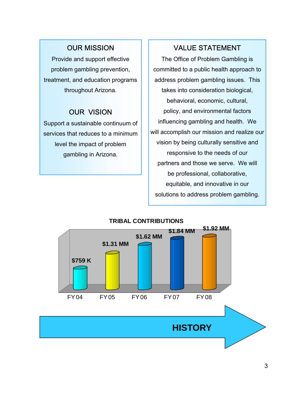## OUR MISSION

Provide and support effective problem gambling prevention, treatment, and education programs throughout Arizona.

### OUR VISION

Support a sustainable continuum of services that reduces to a minimum level the impact of problem gambling in Arizona.

## VALUE STATEMENT

The Office of Problem Gambling is committed to a public health approach to address problem gambling issues. This takes into consideration biological, behavioral, economic, cultural, policy, and environmental factors influencing gambling and health. We will accomplish our mission and realize our vision by being culturally sensitive and responsive to the needs of our partners and those we serve. We will be professional, collaborative, equitable, and innovative in our solutions to address problem gambling.

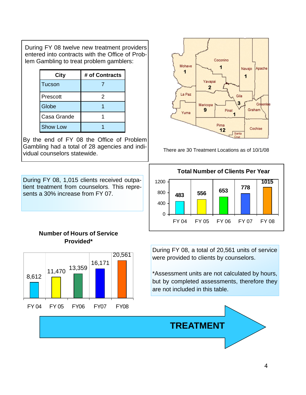During FY 08 twelve new treatment providers entered into contracts with the Office of Problem Gambling to treat problem gamblers:

| <b>City</b>     | # of Contracts |  |
|-----------------|----------------|--|
| <b>Tucson</b>   |                |  |
| Prescott        | 2              |  |
| Globe           |                |  |
| Casa Grande     |                |  |
| <b>Show Low</b> |                |  |

By the end of FY 08 the Office of Problem Gambling had a total of 28 agencies and individual counselors statewide.

During FY 08, 1,015 clients received outpatient treatment from counselors. This represents a 30% increase from FY 07.



There are 30 Treatment Locations as of 10/1/08



### **Number of Hours of Service Provided\***



During FY 08, a total of 20,561 units of service were provided to clients by counselors.

\*Assessment units are not calculated by hours, but by completed assessments, therefore they are not included in this table.

**TREATMENT**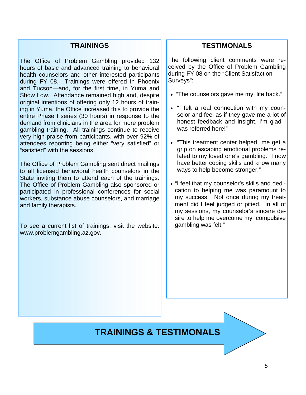### **TRAININGS**

The Office of Problem Gambling provided 132 hours of basic and advanced training to behavioral health counselors and other interested participants during FY 08. Trainings were offered in Phoenix and Tucson—and, for the first time, in Yuma and Show Low. Attendance remained high and, despite original intentions of offering only 12 hours of training in Yuma, the Office increased this to provide the entire Phase I series (30 hours) in response to the demand from clinicians in the area for more problem gambling training. All trainings continue to receive very high praise from participants, with over 92% of attendees reporting being either "very satisfied" or "satisfied" with the sessions.

The Office of Problem Gambling sent direct mailings to all licensed behavioral health counselors in the State inviting them to attend each of the trainings. The Office of Problem Gambling also sponsored or participated in professional conferences for social workers, substance abuse counselors, and marriage and family therapists.

To see a current list of trainings, visit the website: www.problemgambling.az.gov.

### **TESTIMONALS**

The following client comments were received by the Office of Problem Gambling during FY 08 on the "Client Satisfaction Surveys":

- "The counselors gave me my life back."
- "I felt a real connection with my counselor and feel as if they gave me a lot of honest feedback and insight. I'm glad I was referred here!"
- "This treatment center helped me get a grip on escaping emotional problems related to my loved one's gambling. I now have better coping skills and know many ways to help become stronger."
- "I feel that my counselor's skills and dedication to helping me was paramount to my success. Not once during my treatment did I feel judged or pitied. In all of my sessions, my counselor's sincere desire to help me overcome my compulsive gambling was felt."

## **TRAININGS & TESTIMONALS**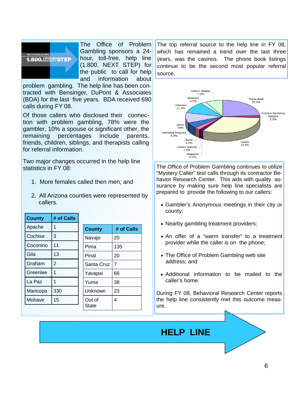

The Office of Problem Gambling sponsors a 24 hour, toll-free, help line (1.800. NEXT STEP) for the public to call for help and information about

problem gambling. The help line has been contracted with Bensinger, DuPont & Associates (BDA) for the last five years. BDA received 690 calls during FY 08.

Of those callers who disclosed their connection with problem gambling, 78% were the gambler, 10% a spouse or significant other, the remaining percentages include parents, friends, children, siblings, and therapists calling for referral information.

Two major changes occurred in the help line statistics in FY 08:

- 1. More females called then men; and
- 2. All Arizona counties were represented by callers.

| <b>County</b> | # of Calls |               |            |
|---------------|------------|---------------|------------|
| Apache        | 1          | <b>County</b> | # of Calls |
| Cochise       | 3          | Navajo        | 20         |
| Coconino      | 11         | Pima          | 135        |
| Gila          | 13         | Pinal         | 20         |
| Graham        | 2          | Santa Cruz    | 7          |
| Greenlee      | 1          | Yavapai       | 66         |
| La Paz        | 1          | Yuma          | 38         |
| Maricopa      | 330        | Unknown       | 23         |
| Mohave        | 15         | Out of        | 4          |
|               |            | State         |            |

The top referral source to the help line in FY 08, which has remained a trend over the last three years, was the casinos. The phone book listings continue to be the second most popular referral source.



The Office of Problem Gambling continues to utilize "Mystery Caller" test calls through its contractor Behavior Research Center. This aids with quality assurance by making sure help line specialists are prepared to provide the following to our callers:

- Gambler's Anonymous meetings in their city or county;
- Nearby gambling treatment providers;
- An offer of a "warm transfer" to a treatment provider while the caller is on the phone;
- The Office of Problem Gambling web site address; and
- Additional information to be mailed to the caller's home.

During FY 08, Behavioral Research Center reports the help line consistently met this outcome measure.

# **HELP LINE**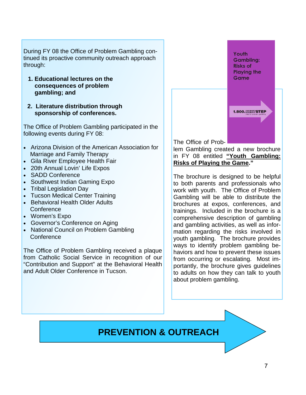During FY 08 the Office of Problem Gambling continued its proactive community outreach approach through:

- **1. Educational lectures on the consequences of problem gambling; and**
- **2. Literature distribution through sponsorship of conferences.**

The Office of Problem Gambling participated in the following events during FY 08:

- Arizona Division of the American Association for Marriage and Family Therapy
- Gila River Employee Health Fair
- 20th Annual Lovin' Life Expos
- SADD Conference
- Southwest Indian Gaming Expo
- Tribal Legislation Day
- Tucson Medical Center Training
- Behavioral Health Older Adults **Conference**
- Women's Expo
- Governor's Conference on Aging
- National Council on Problem Gambling **Conference**

The Office of Problem Gambling received a plaque from Catholic Social Service in recognition of our "Contribution and Support" at the Behavioral Health and Adult Older Conference in Tucson.

**Gambling: Risks of Playing the** Game

**1.800. XEXTSTEP** 

Youth

The Office of Prob-

lem Gambling created a new brochure in FY 08 entitled **"Youth Gambling: Risks of Playing the Game."** 

The brochure is designed to be helpful to both parents and professionals who work with youth. The Office of Problem Gambling will be able to distribute the brochures at expos, conferences, and trainings. Included in the brochure is a comprehensive description of gambling and gambling activities, as well as information regarding the risks involved in youth gambling. The brochure provides ways to identify problem gambling behaviors and how to prevent these issues from occurring or escalating. Most importantly, the brochure gives guidelines to adults on how they can talk to youth about problem gambling.

## **PREVENTION & OUTREACH**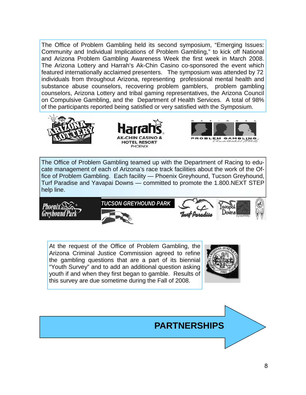The Office of Problem Gambling held its second symposium, "Emerging Issues: Community and Individual Implications of Problem Gambling," to kick off National and Arizona Problem Gambling Awareness Week the first week in March 2008. The Arizona Lottery and Harrah's Ak-Chin Casino co-sponsored the event which featured internationally acclaimed presenters. The symposium was attended by 72 individuals from throughout Arizona, representing professional mental health and substance abuse counselors, recovering problem gamblers, problem gambling counselors, Arizona Lottery and tribal gaming representatives, the Arizona Council on Compulsive Gambling, and the Department of Health Services. A total of 98% of the participants reported being satisfied or very satisfied with the Symposium.







The Office of Problem Gambling teamed up with the Department of Racing to educate management of each of Arizona's race track facilities about the work of the Office of Problem Gambling. Each facility — Phoenix Greyhound, Tucson Greyhound, Turf Paradise and Yavapai Downs — committed to promote the 1.800.NEXT STEP help line.









At the request of the Office of Problem Gambling, the Arizona Criminal Justice Commission agreed to refine the gambling questions that are a part of its biennial "Youth Survey" and to add an additional question asking youth if and when they first began to gamble. Results of this survey are due sometime during the Fall of 2008.



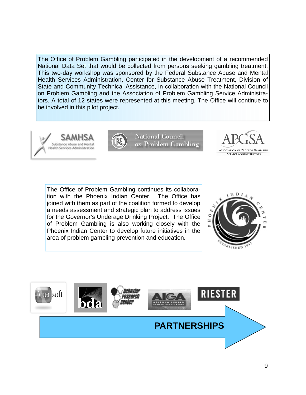The Office of Problem Gambling participated in the development of a recommended National Data Set that would be collected from persons seeking gambling treatment. This two-day workshop was sponsored by the Federal Substance Abuse and Mental Health Services Administration, Center for Substance Abuse Treatment, Division of State and Community Technical Assistance, in collaboration with the National Council on Problem Gambling and the Association of Problem Gambling Service Administrators. A total of 12 states were represented at this meeting. The Office will continue to be involved in this pilot project.







The Office of Problem Gambling continues its collaboration with the Phoenix Indian Center. The Office has joined with them as part of the coalition formed to develop a needs assessment and strategic plan to address issues for the Governor's Underage Drinking Project. The Office of Problem Gambling is also working closely with the Phoenix Indian Center to develop future initiatives in the area of problem gambling prevention and education.



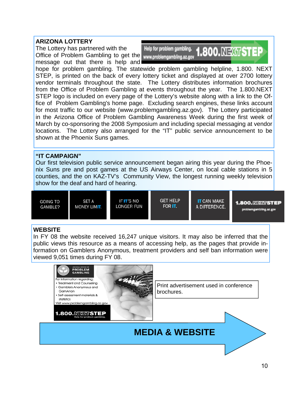### **ARIZONA LOTTERY**

The Lottery has partnered with the Office of Problem Gambling to get the www.problemgambling.az.gov message out that there is help and



hope for problem gambling. The statewide problem gambling helpline, 1.800. NEXT STEP, is printed on the back of every lottery ticket and displayed at over 2700 lottery vendor terminals throughout the state. The Lottery distributes information brochures from the Office of Problem Gambling at events throughout the year. The 1.800.NEXT STEP logo is included on every page of the Lottery's website along with a link to the Office of Problem Gambling's home page. Excluding search engines, these links account for most traffic to our website (www.problemgambling.az.gov). The Lottery participated in the Arizona Office of Problem Gambling Awareness Week during the first week of March by co-sponsoring the 2008 Symposium and including special messaging at vendor locations. The Lottery also arranged for the "IT" public service announcement to be shown at the Phoenix Suns games.

#### **"IT CAMPAIGN"**

Our first television public service announcement began airing this year during the Phoenix Suns pre and post games at the US Airways Center, on local cable stations in 5 counties, and the on KAZ-TV's Community View, the longest running weekly television show for the deaf and hard of hearing.



#### **WEBSITE**

In FY 08 the website received 16,247 unique visitors. It may also be inferred that the public views this resource as a means of accessing help, as the pages that provide information on Gamblers Anonymous, treatment providers and self ban information were viewed 9,051 times during FY 08.

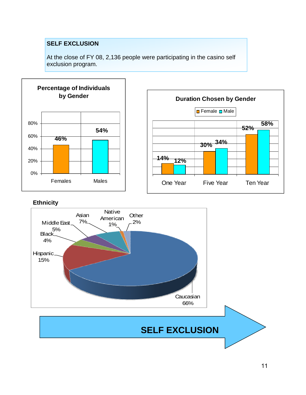### **SELF EXCLUSION**

At the close of FY 08, 2,136 people were participating in the casino self exclusion program.



### **Ethnicity**



# **SELF EXCLUSION**